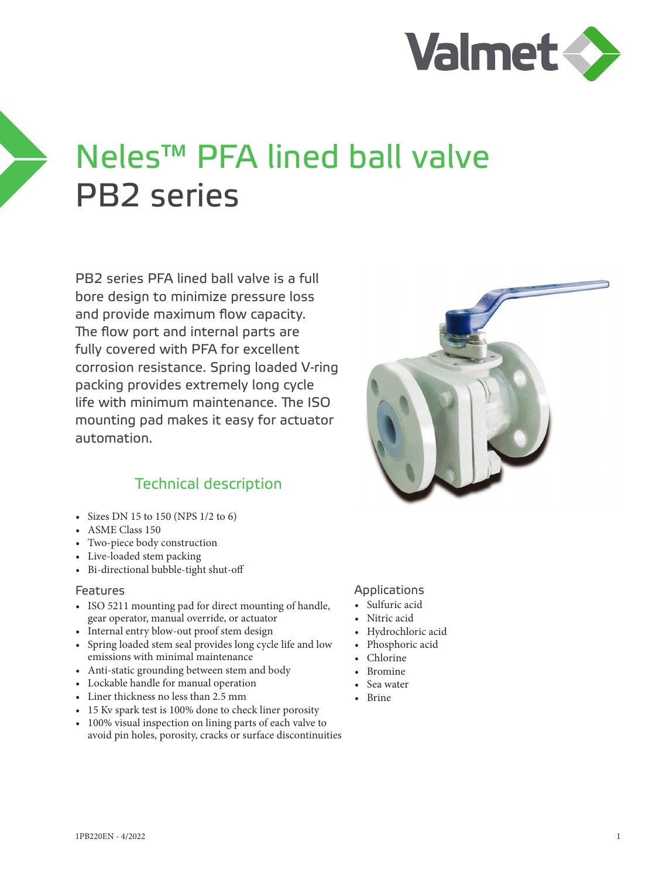

# Neles™ PFA lined ball valve PB2 series

PB2 series PFA lined ball valve is a full bore design to minimize pressure loss and provide maximum flow capacity. The flow port and internal parts are fully covered with PFA for excellent corrosion resistance. Spring loaded V-ring packing provides extremely long cycle life with minimum maintenance. The ISO mounting pad makes it easy for actuator automation.



- Sizes DN 15 to 150 (NPS 1/2 to 6)
- ASME Class 150
- Two-piece body construction
- Live-loaded stem packing
- Bi-directional bubble-tight shut-off

#### Features

- ISO 5211 mounting pad for direct mounting of handle, gear operator, manual override, or actuator
- Internal entry blow-out proof stem design
- Spring loaded stem seal provides long cycle life and low emissions with minimal maintenance
- Anti-static grounding between stem and body
- Lockable handle for manual operation
- Liner thickness no less than 2.5 mm
- 15 Kv spark test is 100% done to check liner porosity
- 100% visual inspection on lining parts of each valve to avoid pin holes, porosity, cracks or surface discontinuities

#### Applications

- Sulfuric acid
- Nitric acid
- Hydrochloric acid
- Phosphoric acid
- Chlorine
- Bromine
- Sea water
- Brine

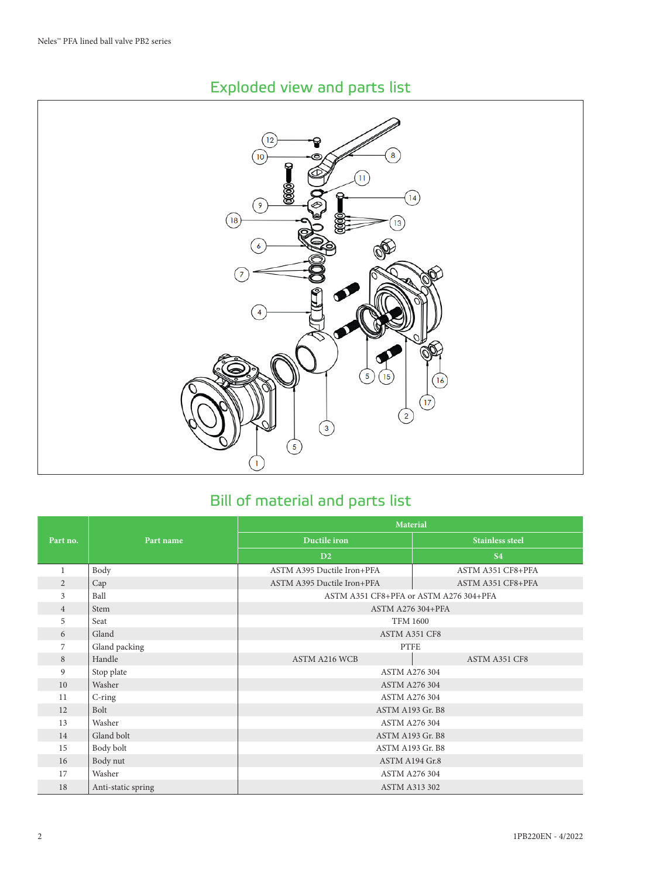## Exploded view and parts list



# Bill of material and parts list

|                | <b>Material</b>                |                                        |                        |  |  |  |
|----------------|--------------------------------|----------------------------------------|------------------------|--|--|--|
| Part no.       | Part name                      | Ductile iron                           | <b>Stainless steel</b> |  |  |  |
|                |                                | D2                                     | <b>S4</b>              |  |  |  |
| $\mathbf{1}$   | Body                           | ASTM A395 Ductile Iron+PFA             | ASTM A351 CF8+PFA      |  |  |  |
| $\overline{2}$ | Cap                            | ASTM A395 Ductile Iron+PFA             | ASTM A351 CF8+PFA      |  |  |  |
| 3              | Ball                           | ASTM A351 CF8+PFA or ASTM A276 304+PFA |                        |  |  |  |
| $\overline{4}$ | Stem                           | <b>ASTM A276 304+PFA</b>               |                        |  |  |  |
| 5              | Seat                           | <b>TFM 1600</b>                        |                        |  |  |  |
| 6              | Gland                          | ASTM A351 CF8                          |                        |  |  |  |
| 7              | Gland packing                  | PTFE                                   |                        |  |  |  |
| 8              | Handle                         | <b>ASTM A216 WCB</b><br>ASTM A351 CF8  |                        |  |  |  |
| 9              | Stop plate                     | <b>ASTM A276 304</b>                   |                        |  |  |  |
| 10             | Washer                         | <b>ASTM A276 304</b>                   |                        |  |  |  |
| 11             | $C$ -ring                      | <b>ASTM A276 304</b>                   |                        |  |  |  |
| 12             | Bolt                           | ASTM A193 Gr. B8                       |                        |  |  |  |
| 13             | Washer<br><b>ASTM A276 304</b> |                                        |                        |  |  |  |
| 14             | Gland bolt                     | ASTM A193 Gr. B8                       |                        |  |  |  |
| 15             | Body bolt                      | ASTM A193 Gr. B8                       |                        |  |  |  |
| 16             | Body nut                       | ASTM A194 Gr.8                         |                        |  |  |  |
| 17             | Washer                         | ASTM A276 304                          |                        |  |  |  |
| 18             | Anti-static spring             | <b>ASTM A313 302</b>                   |                        |  |  |  |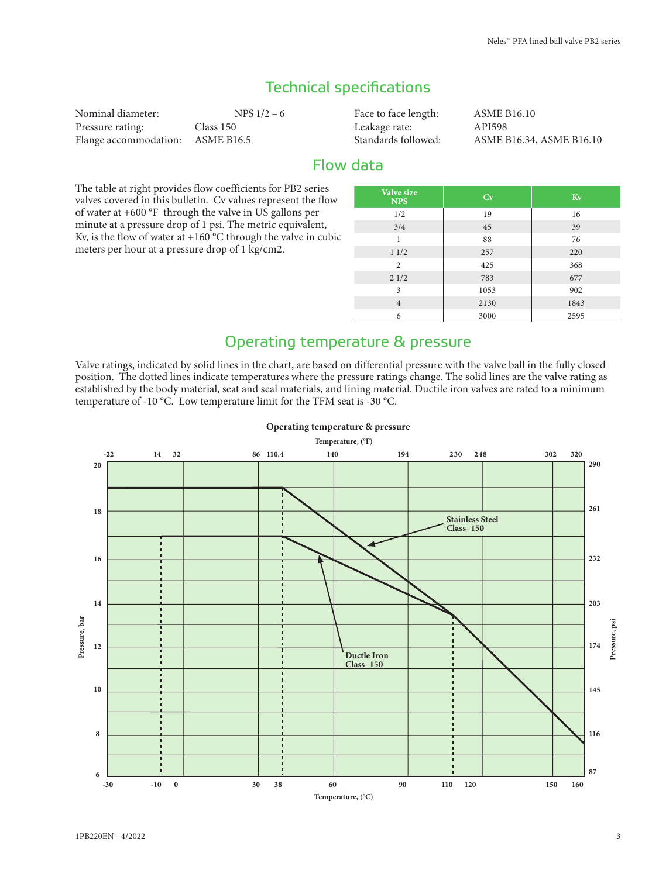### Technical specifications

| Nominal diameter:                | NPS $1/2 - 6$ |
|----------------------------------|---------------|
| Pressure rating:                 | Class 150     |
| Flange accommodation: ASME B16.5 |               |

Face to face length: ASME B16.10 Leakage rate: API598 Standards followed: ASME B16.34, ASME B16.10

#### Flow data

The table at right provides flow coefficients for PB2 series valves covered in this bulletin. Cv values represent the flow of water at +600 °F through the valve in US gallons per minute at a pressure drop of 1 psi. The metric equivalent, Kv, is the flow of water at  $+160^{\circ}$ C through the valve in cubic meters per hour at a pressure drop of 1 kg/cm2.

| Valve size<br><b>NPS</b> | Cv   | Kv   |
|--------------------------|------|------|
| 1/2                      | 19   | 16   |
| 3/4                      | 45   | 39   |
| 1                        | 88   | 76   |
| 11/2                     | 257  | 220  |
| $\overline{2}$           | 425  | 368  |
| 21/2                     | 783  | 677  |
| 3                        | 1053 | 902  |
| $\overline{4}$           | 2130 | 1843 |
| 6                        | 3000 | 2595 |

### Operating temperature & pressure

Valve ratings, indicated by solid lines in the chart, are based on differential pressure with the valve ball in the fully closed position. The dotted lines indicate temperatures where the pressure ratings change. The solid lines are the valve rating as established by the body material, seat and seal materials, and lining material. Ductile iron valves are rated to a minimum temperature of -10 °C. Low temperature limit for the TFM seat is -30 °C.



#### **Operating temperature & pressure**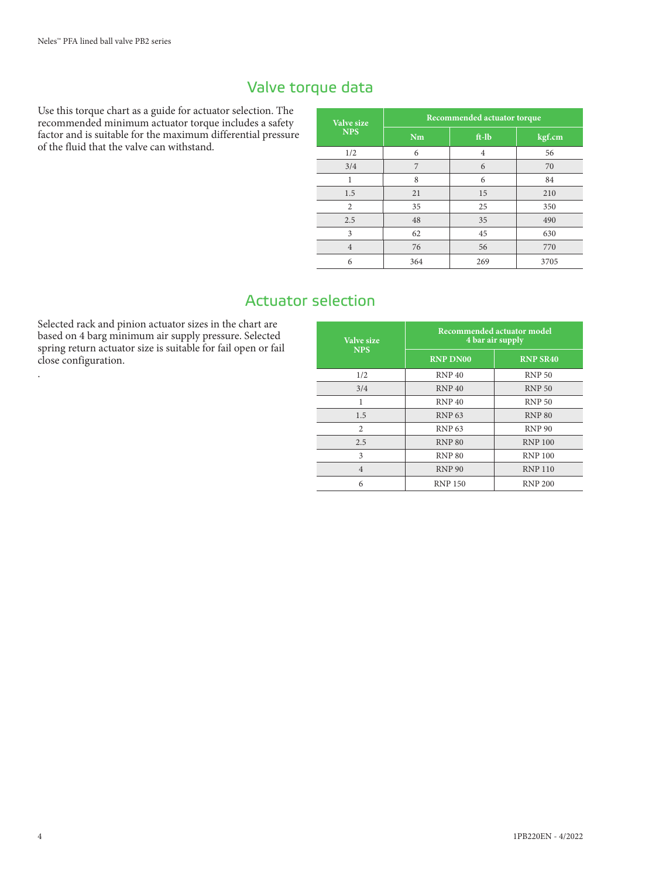## Valve torque data

Use this torque chart as a guide for actuator selection. The recommended minimum actuator torque includes a safety factor and is suitable for the maximum differential pressure of the fluid that the valve can withstand.

| <b>Valve size</b> | Recommended actuator torque |                |          |  |  |  |  |  |
|-------------------|-----------------------------|----------------|----------|--|--|--|--|--|
| <b>NPS</b>        | Nm                          | ft-lb          | kgf.cm   |  |  |  |  |  |
| 1/2               | 6                           | $\overline{4}$ | 56       |  |  |  |  |  |
| 3/4               | 7                           | 6              | 70<br>84 |  |  |  |  |  |
| 1                 | 8                           | 6              |          |  |  |  |  |  |
| 1.5               | 21                          | 15             | 210      |  |  |  |  |  |
| $\overline{2}$    | 35                          | 25             | 350      |  |  |  |  |  |
| 2.5               | 48                          | 35             | 490      |  |  |  |  |  |
| 3                 | 62                          | 45             | 630      |  |  |  |  |  |
| $\overline{4}$    | 76                          | 56             | 770      |  |  |  |  |  |
| 6                 | 364                         | 269            | 3705     |  |  |  |  |  |

## Actuator selection

Selected rack and pinion actuator sizes in the chart are based on 4 barg minimum air supply pressure. Selected spring return actuator size is suitable for fail open or fail close configuration.

| Valve size<br><b>NPS</b> | Recommended actuator model<br>4 bar air supply |                 |  |  |  |
|--------------------------|------------------------------------------------|-----------------|--|--|--|
|                          | <b>RNP DN00</b>                                | <b>RNP SR40</b> |  |  |  |
| 1/2                      | RNP <sub>40</sub>                              | <b>RNP 50</b>   |  |  |  |
| 3/4                      | <b>RNP 40</b>                                  | <b>RNP 50</b>   |  |  |  |
|                          | RNP 40                                         | <b>RNP 50</b>   |  |  |  |
| 1.5                      | <b>RNP 63</b>                                  | <b>RNP 80</b>   |  |  |  |
| $\overline{c}$           | <b>RNP 63</b>                                  | <b>RNP 90</b>   |  |  |  |
| 2.5                      | <b>RNP 80</b>                                  | <b>RNP 100</b>  |  |  |  |
| 3                        | <b>RNP 80</b>                                  | <b>RNP 100</b>  |  |  |  |
| $\overline{4}$           | <b>RNP 90</b>                                  | <b>RNP 110</b>  |  |  |  |
| 6                        | <b>RNP 150</b>                                 | <b>RNP 200</b>  |  |  |  |

.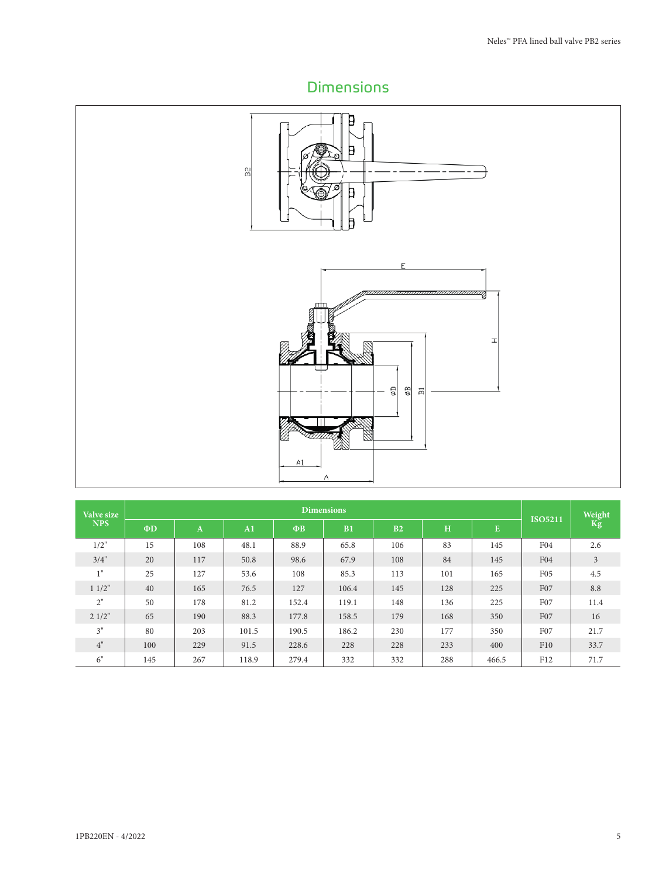## Dimensions



| Valve size      | <b>Dimensions</b> |     |                |          |       |     |     |       |                 | Weight    |
|-----------------|-------------------|-----|----------------|----------|-------|-----|-----|-------|-----------------|-----------|
| <b>NPS</b>      | $\Phi$ D          | A   | A <sub>1</sub> | $\Phi$ B | B1    | B2  | H   | E     | <b>ISO5211</b>  | <b>Kg</b> |
| $1/2$ "         | 15                | 108 | 48.1           | 88.9     | 65.8  | 106 | 83  | 145   | F <sub>04</sub> | 2.6       |
| 3/4"            | 20                | 117 | 50.8           | 98.6     | 67.9  | 108 | 84  | 145   | F04             | 3         |
| 1 <sup>11</sup> | 25                | 127 | 53.6           | 108      | 85.3  | 113 | 101 | 165   | F <sub>05</sub> | 4.5       |
| 11/2"           | 40                | 165 | 76.5           | 127      | 106.4 | 145 | 128 | 225   | <b>F07</b>      | 8.8       |
| 2"              | 50                | 178 | 81.2           | 152.4    | 119.1 | 148 | 136 | 225   | F <sub>07</sub> | 11.4      |
| 21/2"           | 65                | 190 | 88.3           | 177.8    | 158.5 | 179 | 168 | 350   | F <sub>07</sub> | 16        |
| 3"              | 80                | 203 | 101.5          | 190.5    | 186.2 | 230 | 177 | 350   | F <sub>07</sub> | 21.7      |
| 4"              | 100               | 229 | 91.5           | 228.6    | 228   | 228 | 233 | 400   | F10             | 33.7      |
| 6"              | 145               | 267 | 118.9          | 279.4    | 332   | 332 | 288 | 466.5 | F12             | 71.7      |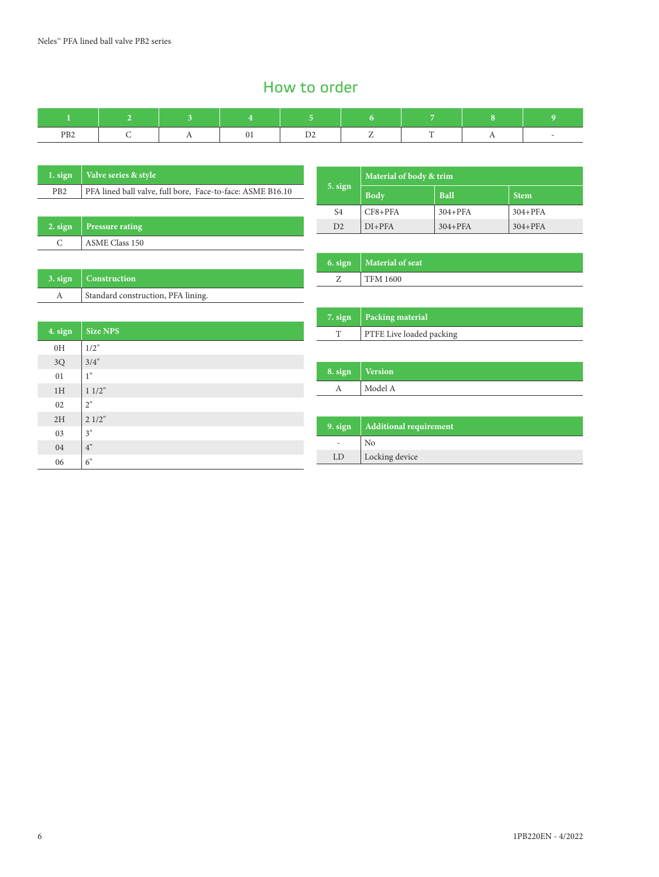### How to order

| P <sub>B2</sub> |  |  |  |  |
|-----------------|--|--|--|--|

| 1. sign         | Valve series & style                                       |                          | Material of body & trim       |             |             |  |  |
|-----------------|------------------------------------------------------------|--------------------------|-------------------------------|-------------|-------------|--|--|
| P <sub>B2</sub> | PFA lined ball valve, full bore, Face-to-face: ASME B16.10 | $5.$ sign                | <b>Body</b>                   | <b>Ball</b> | <b>Stem</b> |  |  |
|                 |                                                            | S <sub>4</sub>           | $CF8 + PFA$                   | $304 + PFA$ | $304 + PFA$ |  |  |
| 2. sign         | <b>Pressure rating</b>                                     | D2                       | $DI+PFA$                      | $304 + PFA$ | $304 + PFA$ |  |  |
| $\mathsf{C}$    | <b>ASME Class 150</b>                                      |                          |                               |             |             |  |  |
|                 |                                                            | 6. sign                  | <b>Material of seat</b>       |             |             |  |  |
| 3. sign         | <b>Construction</b>                                        | Ζ                        | <b>TFM 1600</b>               |             |             |  |  |
| A               | Standard construction, PFA lining.                         |                          |                               |             |             |  |  |
|                 |                                                            | $7.$ sign                | <b>Packing material</b>       |             |             |  |  |
| 4. sign         | <b>Size NPS</b>                                            | T                        | PTFE Live loaded packing      |             |             |  |  |
| 0H              | 1/2"                                                       |                          |                               |             |             |  |  |
| 3Q              | 3/4"                                                       |                          |                               |             |             |  |  |
| 01              | 1"                                                         | 8. sign                  | Version                       |             |             |  |  |
| 1H              | 11/2"                                                      | A                        | Model A                       |             |             |  |  |
| 02              | 2"                                                         |                          |                               |             |             |  |  |
| 2H              | 21/2"                                                      |                          |                               |             |             |  |  |
| 03              | 3"                                                         | 9. sign                  | <b>Additional requirement</b> |             |             |  |  |
| 04              | 4"                                                         | $\overline{\phantom{a}}$ | No                            |             |             |  |  |
| 06              | $6"$                                                       | LD                       | Locking device                |             |             |  |  |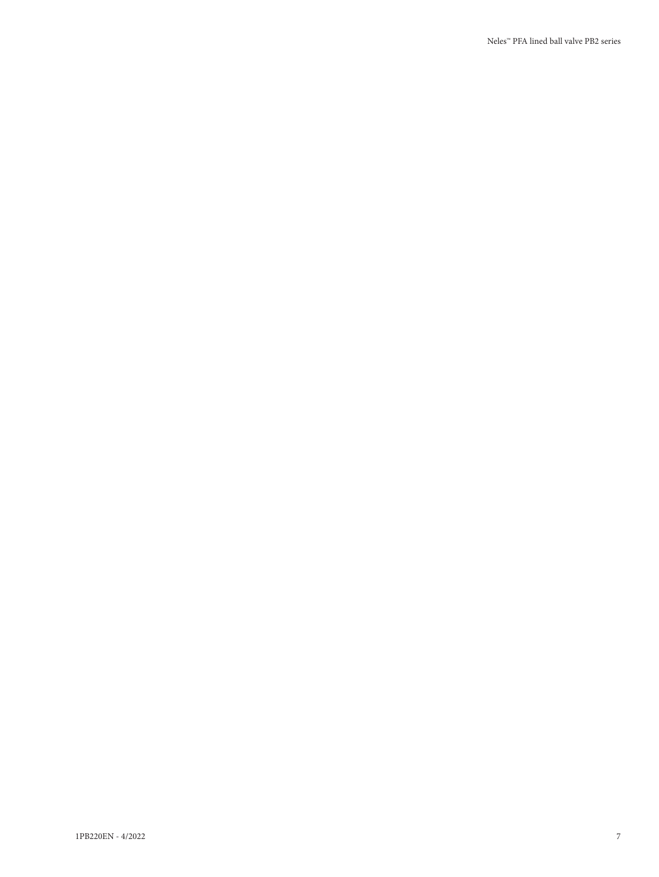Neles™ PFA lined ball valve PB2 series